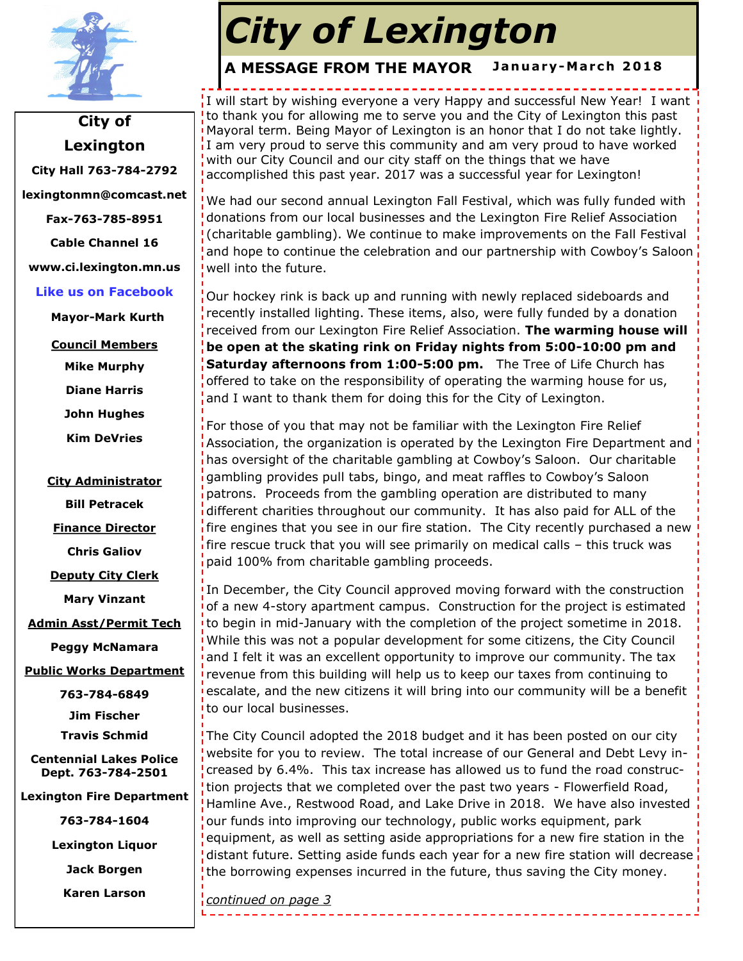

**City of Lexington City Hall 763-784-2792 lexingtonmn@comcast.net Fax-763-785-8951 Cable Channel 16 www.ci.lexington.mn.us Like us on Facebook**

**Mayor-Mark Kurth**

**Council Members**

**Mike Murphy**

**Diane Harris**

**John Hughes**

**Kim DeVries**

#### **City Administrator**

**Bill Petracek**

**Finance Director**

**Chris Galiov**

**Deputy City Clerk**

**Mary Vinzant**

**Admin Asst/Permit Tech**

**Peggy McNamara**

**Public Works Department**

**763-784-6849 Jim Fischer**

**Travis Schmid**

**Centennial Lakes Police Dept. 763-784-2501**

**Lexington Fire Department** 

**763-784-1604**

**Lexington Liquor** 

**Jack Borgen**

**Karen Larson**

# *City of Lexington*

#### January-March 2018 **A MESSAGE FROM THE MAYOR**

I will start by wishing everyone a very Happy and successful New Year! I want to thank you for allowing me to serve you and the City of Lexington this past Mayoral term. Being Mayor of Lexington is an honor that I do not take lightly. I am very proud to serve this community and am very proud to have worked with our City Council and our city staff on the things that we have accomplished this past year. 2017 was a successful year for Lexington!

We had our second annual Lexington Fall Festival, which was fully funded with donations from our local businesses and the Lexington Fire Relief Association (charitable gambling). We continue to make improvements on the Fall Festival and hope to continue the celebration and our partnership with Cowboy's Saloon well into the future.

Our hockey rink is back up and running with newly replaced sideboards and recently installed lighting. These items, also, were fully funded by a donation received from our Lexington Fire Relief Association. **The warming house will be open at the skating rink on Friday nights from 5:00-10:00 pm and Saturday afternoons from 1:00-5:00 pm.** The Tree of Life Church has offered to take on the responsibility of operating the warming house for us, and I want to thank them for doing this for the City of Lexington.

For those of you that may not be familiar with the Lexington Fire Relief Association, the organization is operated by the Lexington Fire Department and has oversight of the charitable gambling at Cowboy's Saloon. Our charitable gambling provides pull tabs, bingo, and meat raffles to Cowboy's Saloon patrons. Proceeds from the gambling operation are distributed to many different charities throughout our community. It has also paid for ALL of the fire engines that you see in our fire station. The City recently purchased a new fire rescue truck that you will see primarily on medical calls – this truck was paid 100% from charitable gambling proceeds.

In December, the City Council approved moving forward with the construction of a new 4-story apartment campus. Construction for the project is estimated to begin in mid-January with the completion of the project sometime in 2018. While this was not a popular development for some citizens, the City Council and I felt it was an excellent opportunity to improve our community. The tax revenue from this building will help us to keep our taxes from continuing to escalate, and the new citizens it will bring into our community will be a benefit to our local businesses.

The City Council adopted the 2018 budget and it has been posted on our city website for you to review. The total increase of our General and Debt Levy increased by 6.4%. This tax increase has allowed us to fund the road construction projects that we completed over the past two years - Flowerfield Road, Hamline Ave., Restwood Road, and Lake Drive in 2018. We have also invested our funds into improving our technology, public works equipment, park equipment, as well as setting aside appropriations for a new fire station in the distant future. Setting aside funds each year for a new fire station will decrease the borrowing expenses incurred in the future, thus saving the City money.

*continued on page 3*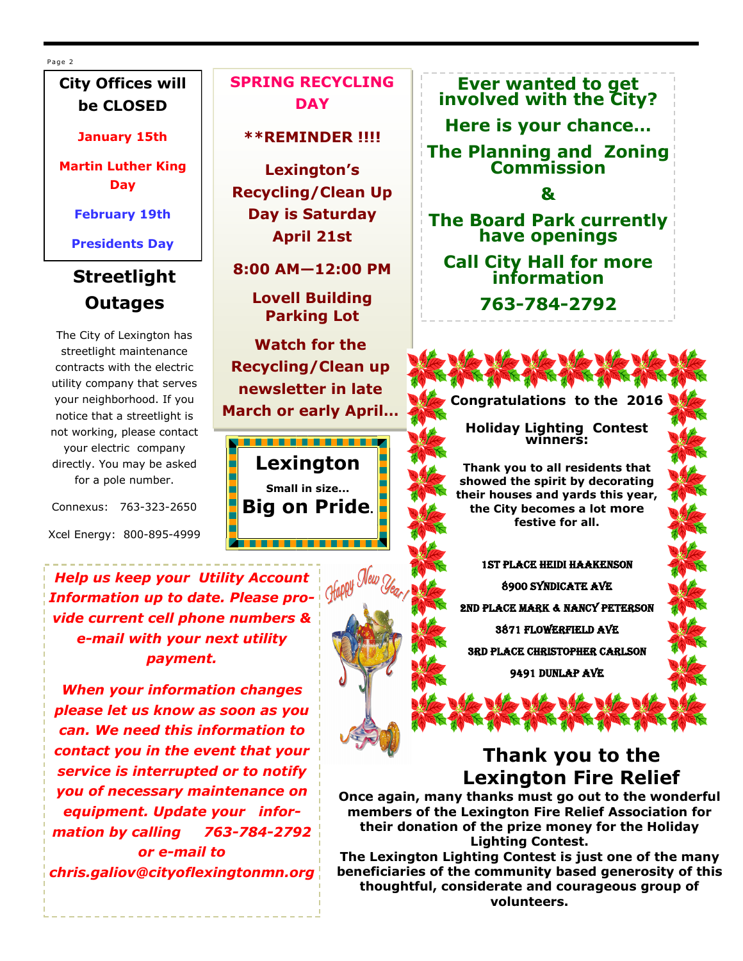Page 2

## **City Offices will be CLOSED**

#### **January 15th**

**Martin Luther King Day**

### **February 19th**

**Presidents Day**

## **Streetlight Outages**

The City of Lexington has streetlight maintenance contracts with the electric utility company that serves your neighborhood. If you notice that a streetlight is not working, please contact your electric company directly. You may be asked for a pole number.

Connexus: 763-323-2650

Xcel Energy: 800-895-4999

**SPRING RECYCLING DAY**

**\*\*REMINDER !!!!**

**Lexington's Recycling/Clean Up Day is Saturday April 21st** 

**8:00 AM—12:00 PM** 

**Lovell Building Parking Lot**

**Watch for the Recycling/Clean up newsletter in late March or early April…**

<u>. . . . . . . . . . . . . . . .</u> **Lexington Small in size... Big on Pride.**



**Ever wanted to get involved with the City?** 

**Here is your chance…**

**The Planning and Zoning Commission**

**&**

**The Board Park currently have openings** 

**Call City Hall for more information**

**763-784-2792**



**Congratulations to the 2016**

**Holiday Lighting Contest winners:**

**Thank you to all residents that showed the spirit by decorating their houses and yards this year, the City becomes a lot more festive for all.** 

1st Place Heidi Haakenson 8900 Syndicate Ave 2nd Place Mark & Nancy Peterson 3871 Flowerfield Ave 3rd Place Christopher Carlson 9491 Dunlap Ave

## **Thank you to the Lexington Fire Relief**

**Once again, many thanks must go out to the wonderful members of the Lexington Fire Relief Association for their donation of the prize money for the Holiday Lighting Contest.** 

**The Lexington Lighting Contest is just one of the many beneficiaries of the community based generosity of this thoughtful, considerate and courageous group of volunteers.** 

*Help us keep your Utility Account Information up to date. Please provide current cell phone numbers & e-mail with your next utility payment.* 

*When your information changes please let us know as soon as you can. We need this information to contact you in the event that your service is interrupted or to notify you of necessary maintenance on equipment. Update your information by calling 763-784-2792 or e-mail to chris.galiov@cityoflexingtonmn.org*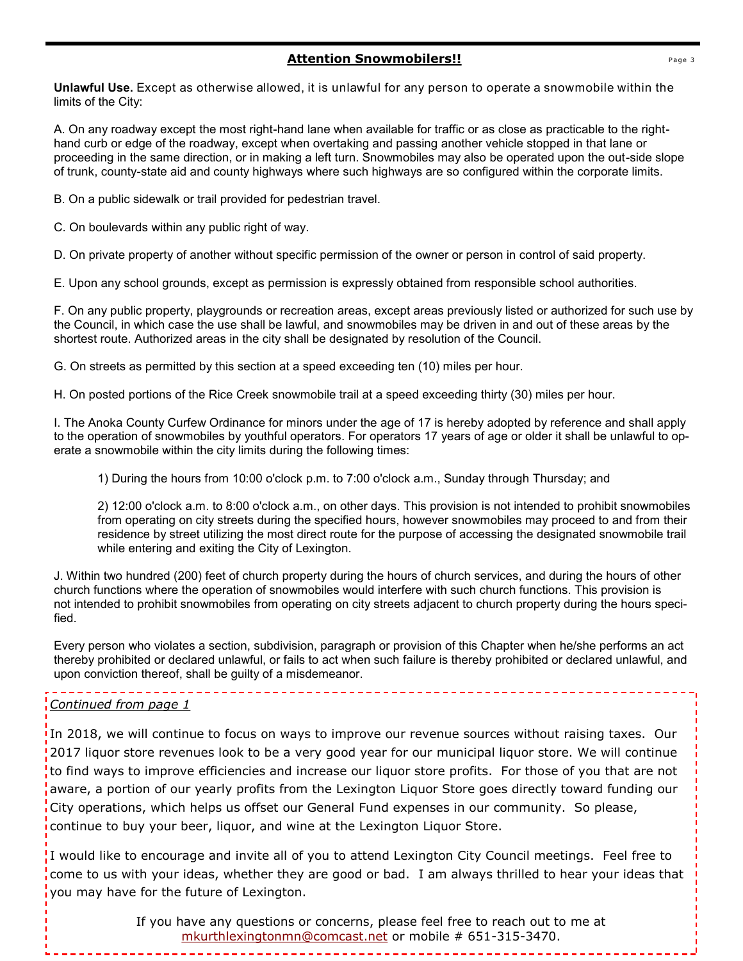#### **Attention Snowmobilers!!**

**Unlawful Use.** Except as otherwise allowed, it is unlawful for any person to operate a snowmobile within the limits of the City:

A. On any roadway except the most right-hand lane when available for traffic or as close as practicable to the righthand curb or edge of the roadway, except when overtaking and passing another vehicle stopped in that lane or proceeding in the same direction, or in making a left turn. Snowmobiles may also be operated upon the out-side slope of trunk, county-state aid and county highways where such highways are so configured within the corporate limits.

B. On a public sidewalk or trail provided for pedestrian travel.

C. On boulevards within any public right of way.

D. On private property of another without specific permission of the owner or person in control of said property.

E. Upon any school grounds, except as permission is expressly obtained from responsible school authorities.

F. On any public property, playgrounds or recreation areas, except areas previously listed or authorized for such use by the Council, in which case the use shall be lawful, and snowmobiles may be driven in and out of these areas by the shortest route. Authorized areas in the city shall be designated by resolution of the Council.

G. On streets as permitted by this section at a speed exceeding ten (10) miles per hour.

H. On posted portions of the Rice Creek snowmobile trail at a speed exceeding thirty (30) miles per hour.

I. The Anoka County Curfew Ordinance for minors under the age of 17 is hereby adopted by reference and shall apply to the operation of snowmobiles by youthful operators. For operators 17 years of age or older it shall be unlawful to operate a snowmobile within the city limits during the following times:

1) During the hours from 10:00 o'clock p.m. to 7:00 o'clock a.m., Sunday through Thursday; and

2) 12:00 o'clock a.m. to 8:00 o'clock a.m., on other days. This provision is not intended to prohibit snowmobiles from operating on city streets during the specified hours, however snowmobiles may proceed to and from their residence by street utilizing the most direct route for the purpose of accessing the designated snowmobile trail while entering and exiting the City of Lexington.

J. Within two hundred (200) feet of church property during the hours of church services, and during the hours of other church functions where the operation of snowmobiles would interfere with such church functions. This provision is not intended to prohibit snowmobiles from operating on city streets adjacent to church property during the hours specified.

Every person who violates a section, subdivision, paragraph or provision of this Chapter when he/she performs an act thereby prohibited or declared unlawful, or fails to act when such failure is thereby prohibited or declared unlawful, and upon conviction thereof, shall be guilty of a misdemeanor.

#### *Continued from page 1*

In 2018, we will continue to focus on ways to improve our revenue sources without raising taxes. Our 2017 liquor store revenues look to be a very good year for our municipal liquor store. We will continue to find ways to improve efficiencies and increase our liquor store profits. For those of you that are not aware, a portion of our yearly profits from the Lexington Liquor Store goes directly toward funding our City operations, which helps us offset our General Fund expenses in our community. So please, continue to buy your beer, liquor, and wine at the Lexington Liquor Store.

If would like to encourage and invite all of you to attend Lexington City Council meetings. Feel free to come to us with your ideas, whether they are good or bad. I am always thrilled to hear your ideas that you may have for the future of Lexington.

> If you have any questions or concerns, please feel free to reach out to me at [mkurthlexingtonmn@comcast.net](mailto:mkurthlexingtonmn@comcast.net) or mobile # 651-315-3470.